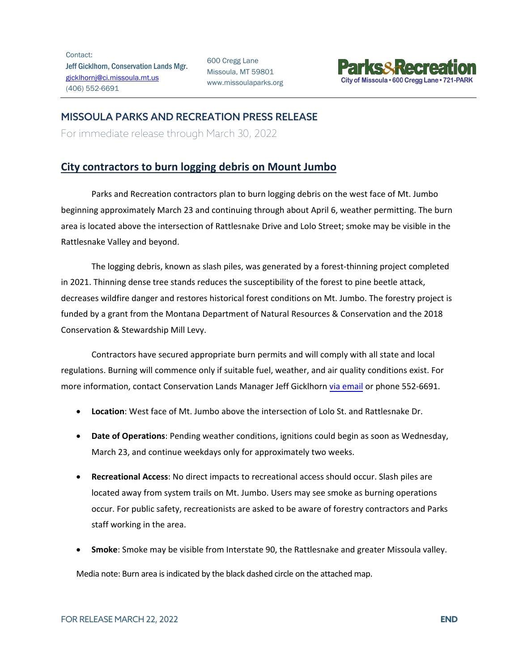Contact: Jeff Gicklhorn, Conservation Lands Mgr. [gicklhornj@ci.missoula.mt.us](mailto:gicklhornj@ci.missoula.mt.us) (406) 552-6691

600 Cregg Lane Missoula, MT 59801 www.missoulaparks.org



## MISSOULA PARKS AND RECREATION PRESS RELEASE

For immediate release through March 30, 2022

## **City contractors to burn logging debris on Mount Jumbo**

Parks and Recreation contractors plan to burn logging debris on the west face of Mt. Jumbo beginning approximately March 23 and continuing through about April 6, weather permitting. The burn area is located above the intersection of Rattlesnake Drive and Lolo Street; smoke may be visible in the Rattlesnake Valley and beyond.

The logging debris, known as slash piles, was generated by a forest-thinning project completed in 2021. Thinning dense tree stands reduces the susceptibility of the forest to pine beetle attack, decreases wildfire danger and restores historical forest conditions on Mt. Jumbo. The forestry project is funded by a grant from the Montana Department of Natural Resources & Conservation and the 2018 Conservation & Stewardship Mill Levy.

Contractors have secured appropriate burn permits and will comply with all state and local regulations. Burning will commence only if suitable fuel, weather, and air quality conditions exist. For more information, contact Conservation Lands Manager Jeff Gicklhorn [via email](mailto:gicklhornj@ci.missoula.mt.us) or phone 552-6691.

- **Location**: West face of Mt. Jumbo above the intersection of Lolo St. and Rattlesnake Dr.
- **Date of Operations**: Pending weather conditions, ignitions could begin as soon as Wednesday, March 23, and continue weekdays only for approximately two weeks.
- **Recreational Access**: No direct impacts to recreational access should occur. Slash piles are located away from system trails on Mt. Jumbo. Users may see smoke as burning operations occur. For public safety, recreationists are asked to be aware of forestry contractors and Parks staff working in the area.
- **Smoke**: Smoke may be visible from Interstate 90, the Rattlesnake and greater Missoula valley.

Media note: Burn area is indicated by the black dashed circle on the attached map.